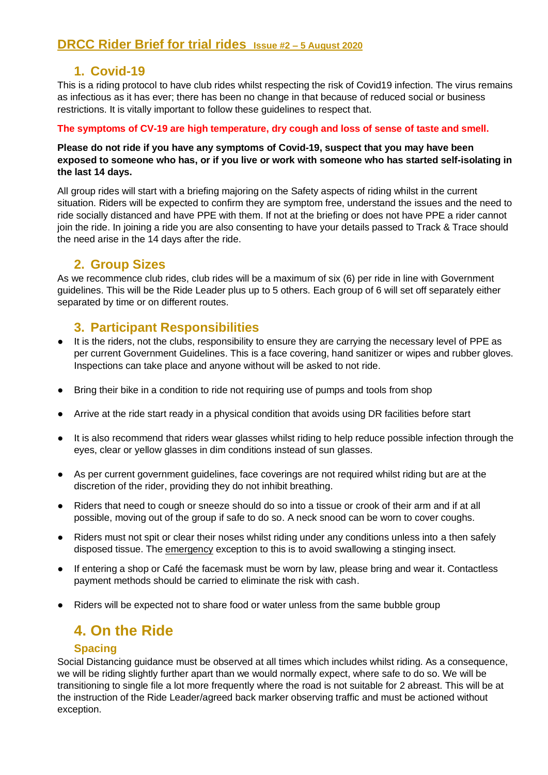## **1. Covid-19**

This is a riding protocol to have club rides whilst respecting the risk of Covid19 infection. The virus remains as infectious as it has ever; there has been no change in that because of reduced social or business restrictions. It is vitally important to follow these guidelines to respect that.

### **The symptoms of CV-19 are high temperature, dry cough and loss of sense of taste and smell.**

### **Please do not ride if you have any symptoms of Covid-19, suspect that you may have been exposed to someone who has, or if you live or work with someone who has started self-isolating in the last 14 days.**

All group rides will start with a briefing majoring on the Safety aspects of riding whilst in the current situation. Riders will be expected to confirm they are symptom free, understand the issues and the need to ride socially distanced and have PPE with them. If not at the briefing or does not have PPE a rider cannot join the ride. In joining a ride you are also consenting to have your details passed to Track & Trace should the need arise in the 14 days after the ride.

### **2. Group Sizes**

As we recommence club rides, club rides will be a maximum of six (6) per ride in line with Government guidelines. This will be the Ride Leader plus up to 5 others. Each group of 6 will set off separately either separated by time or on different routes.

## **3. Participant Responsibilities**

- It is the riders, not the clubs, responsibility to ensure they are carrying the necessary level of PPE as per current Government Guidelines. This is a face covering, hand sanitizer or wipes and rubber gloves. Inspections can take place and anyone without will be asked to not ride.
- Bring their bike in a condition to ride not requiring use of pumps and tools from shop
- Arrive at the ride start ready in a physical condition that avoids using DR facilities before start
- It is also recommend that riders wear glasses whilst riding to help reduce possible infection through the eyes, clear or yellow glasses in dim conditions instead of sun glasses.
- As per current government guidelines, face coverings are not required whilst riding but are at the discretion of the rider, providing they do not inhibit breathing.
- Riders that need to cough or sneeze should do so into a tissue or crook of their arm and if at all possible, moving out of the group if safe to do so. A neck snood can be worn to cover coughs.
- Riders must not spit or clear their noses whilst riding under any conditions unless into a then safely disposed tissue. The emergency exception to this is to avoid swallowing a stinging insect.
- If entering a shop or Café the facemask must be worn by law, please bring and wear it. Contactless payment methods should be carried to eliminate the risk with cash.
- Riders will be expected not to share food or water unless from the same bubble group

# **4. On the Ride**

### **Spacing**

Social Distancing guidance must be observed at all times which includes whilst riding. As a consequence, we will be riding slightly further apart than we would normally expect, where safe to do so. We will be transitioning to single file a lot more frequently where the road is not suitable for 2 abreast. This will be at the instruction of the Ride Leader/agreed back marker observing traffic and must be actioned without exception.